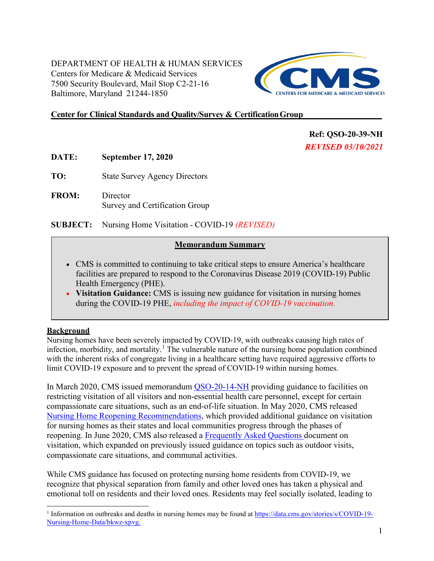DEPARTMENT OF HEALTH & HUMAN SERVICES Centers for Medicare & Medicaid Services 7500 Security Boulevard, Mail Stop C2-21-16 Baltimore, Maryland 21244-1850



# **Center for Clinical Standards and Quality/Survey & CertificationGroup**

**Ref: QSO-20-39-NH**  *REVISED 03/10/2021* 

- **DATE: September 17, 2020**
- **TO:** State Survey Agency Directors
- **FROM:** Director Survey and Certification Group

**SUBJECT:** Nursing Home Visitation - COVID-19 *(REVISED)*

#### **Memorandum Summary**

- CMS is committed to continuing to take critical steps to ensure America's healthcare facilities are prepared to respond to the Coronavirus Disease 2019 (COVID-19) Public Health Emergency (PHE).
- **Visitation Guidance:** CMS is issuing new guidance for visitation in nursing homes during the COVID-19 PHE, *including the impact of COVID-19 vaccination.*

#### **Background**

Nursing homes have been severely impacted by COVID-19, with outbreaks causing high rates of infection, morbidity, and mortality.<sup>[1](#page-0-1)</sup> [T](#page-0-0)he vulnerable nature of the nursing home population combined with the inherent risks of congregate living in a healthcare setting have required aggressive efforts to limit COVID-19 exposure and to prevent the spread of COVID-19 within nursing homes.

<span id="page-0-0"></span>In March 2020, CMS issued memorandum [QSO-20-14-NH](https://www.cms.gov/files/document/qso-20-14-nh-revised.pdf) providing guidance to facilities on restricting visitation of all visitors and non-essential health care personnel, except for certain compassionate care situations, such as an end-of-life situation. In May 2020, CMS released [Nursing Home Reopening Recommendations,](https://www.cms.gov/files/document/qso-20-30-nh.pdf-0) which provided additional guidance on visitation for nursing homes as their states and local communities progress through the phases of reopening. In June 2020, CMS also released a [Frequently Asked Questions d](https://www.cms.gov/files/document/covid-visitation-nursing-home-residents.pdf)ocument on visitation, which expanded on previously issued guidance on topics such as outdoor visits, compassionate care situations, and communal activities.

While CMS guidance has focused on protecting nursing home residents from COVID-19, we recognize that physical separation from family and other loved ones has taken a physical and emotional toll on residents and their loved ones. Residents may feel socially isolated, leading to

<span id="page-0-1"></span><sup>1</sup> Information on outbreaks and deaths in nursing homes may be found at [https://data.cms.gov/stories/s/COVID-19-](https://data.cms.gov/stories/s/COVID-19-Nursing-Home-Data/bkwz-xpvg) [Nursing-Home-Data/bkwz-xpvg.](https://data.cms.gov/stories/s/COVID-19-Nursing-Home-Data/bkwz-xpvg)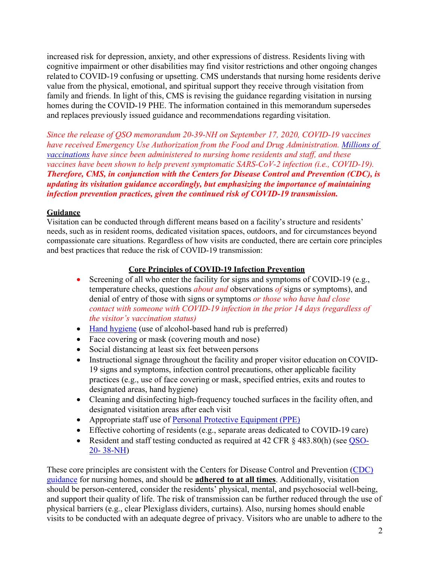increased risk for depression, anxiety, and other expressions of distress. Residents living with cognitive impairment or other disabilities may find visitor restrictions and other ongoing changes related to COVID-19 confusing or upsetting. CMS understands that nursing home residents derive value from the physical, emotional, and spiritual support they receive through visitation from family and friends. In light of this, CMS is revising the guidance regarding visitation in nursing homes during the COVID-19 PHE. The information contained in this memorandum supersedes and replaces previously issued guidance and recommendations regarding visitation.

*Since the release of QSO memorandum 20-39-NH on September 17, 2020, COVID-19 vaccines have received Emergency Use Authorization from the Food and Drug Administration. [Millions of](https://covid.cdc.gov/covid-data-tracker/#vaccinations-ltc)  [vaccinations](https://covid.cdc.gov/covid-data-tracker/#vaccinations-ltc) have since been administered to nursing home residents and staff, and these vaccines have been shown to help prevent symptomatic SARS-CoV-2 infection (i.e., COVID-19). Therefore, CMS, in conjunction with the Centers for Disease Control and Prevention (CDC), is updating its visitation guidance accordingly, but emphasizing the importance of maintaining infection prevention practices, given the continued risk of COVID-19 transmission.* 

# **Guidance**

Visitation can be conducted through different means based on a facility's structure and residents' needs, such as in resident rooms, dedicated visitation spaces, outdoors, and for circumstances beyond compassionate care situations. Regardless of how visits are conducted, there are certain core principles and best practices that reduce the risk of COVID-19 transmission:

# **Core Principles of COVID-19 Infection Prevention**

- Screening of all who enter the facility for signs and symptoms of COVID-19 (e.g., temperature checks, questions *about and* observations *of* signs or symptoms), and denial of entry of those with signs or symptoms *or those who have had close contact with someone with COVID-19 infection in the prior 14 days (regardless of the visitor's vaccination status)*
- [Hand hygiene \(](https://www.cdc.gov/handhygiene/pdfs/Provider-Factsheet-508.pdf)use of alcohol-based hand rub is preferred)
- Face covering or mask (covering mouth and nose)
- Social distancing at least six feet between persons
- Instructional signage throughout the facility and proper visitor education on COVID-19 signs and symptoms, infection control precautions, other applicable facility practices (e.g., use of face covering or mask, specified entries, exits and routes to designated areas, hand hygiene)
- Cleaning and disinfecting high-frequency touched surfaces in the facility often, and designated visitation areas after each visit
- Appropriate staff use of [Personal Protective Equipment \(PPE\)](https://www.cdc.gov/coronavirus/2019-ncov/hcp/using-ppe.html)
- Effective cohorting of residents (e.g., separate areas dedicated to COVID-19 care)
- Resident and staff testing conducted as required at 42 CFR § 483.80(h) (see [QSO-](https://www.cms.gov/files/document/qso-20-38-nh.pdf)[20-](https://www.cms.gov/files/document/qso-20-38-nh.pdf) [38-NH\)](https://www.cms.gov/files/document/qso-20-38-nh.pdf)

These core principles are consistent with the Centers for Disease Control and Prevention [\(CDC\)](https://www.cdc.gov/coronavirus/2019-ncov/hcp/long-term-care.html?CDC_AA_refVal=https%3A%2F%2Fwww.cdc.gov%2Fcoronavirus%2F2019-ncov%2Fhealthcare-facilities%2Fprevent-spread-in-long-term-care-facilities.html) [guidance](https://www.cdc.gov/coronavirus/2019-ncov/hcp/long-term-care.html?CDC_AA_refVal=https%3A%2F%2Fwww.cdc.gov%2Fcoronavirus%2F2019-ncov%2Fhealthcare-facilities%2Fprevent-spread-in-long-term-care-facilities.html) for nursing homes, and should be **adhered to at all times**. Additionally, visitation should be person-centered, consider the residents' physical, mental, and psychosocial well-being, and support their quality of life. The risk of transmission can be further reduced through the use of physical barriers (e.g., clear Plexiglass dividers, curtains). Also, nursing homes should enable visits to be conducted with an adequate degree of privacy. Visitors who are unable to adhere to the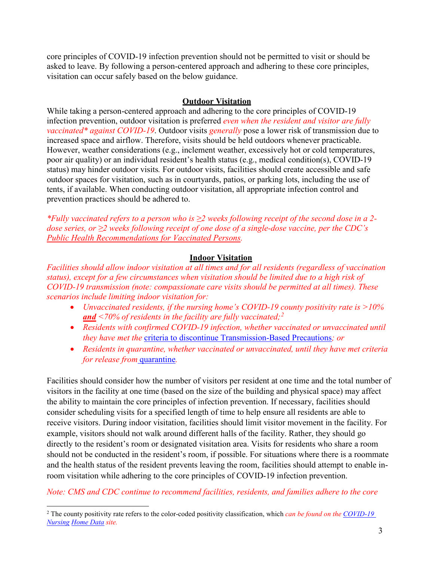core principles of COVID-19 infection prevention should not be permitted to visit or should be asked to leave. By following a person-centered approach and adhering to these core principles, visitation can occur safely based on the below guidance.

#### **Outdoor Visitation**

While taking a person-centered approach and adhering to the core principles of COVID-19 infection prevention, outdoor visitation is preferred *even when the resident and visitor are fully vaccinated\* against COVID-19*. Outdoor visits *generally* pose a lower risk of transmission due to increased space and airflow. Therefore, visits should be held outdoors whenever practicable. However, weather considerations (e.g., inclement weather, excessively hot or cold temperatures, poor air quality) or an individual resident's health status (e.g., medical condition(s), COVID-19 status) may hinder outdoor visits*.* For outdoor visits, facilities should create accessible and safe outdoor spaces for visitation, such as in courtyards, patios, or parking lots, including the use of tents, if available. When conducting outdoor visitation, all appropriate infection control and prevention practices should be adhered to.

*\*Fully vaccinated refers to a person who is ≥2 weeks following receipt of the second dose in a 2 dose series, or ≥2 weeks following receipt of one dose of a single-dose vaccine, per the CDC's [Public Health Recommendations for Vaccinated Persons.](https://www.cdc.gov/vaccines/covid-19/info-by-product/clinical-considerations.html)*

#### **Indoor Visitation**

*Facilities should allow indoor visitation at all times and for all residents (regardless of vaccination status), except for a few circumstances when visitation should be limited due to a high risk of COVID-19 transmission (note: compassionate care visits should be permitted at all times). These scenarios include limiting indoor visitation for:* 

- *Unvaccinated residents, if the nursing home's COVID-19 county positivity rate is >10% and <70% of residents in the facility are fully vaccinated; [2](#page-2-0)*
- *Residents with confirmed COVID-19 infection, whether vaccinated or unvaccinated until they have met the*  [criteria to discontinue Transmission-Based Precautions](https://www.cdc.gov/coronavirus/2019-ncov/hcp/disposition-hospitalized-patients.html)*; or*
- *Residents in quarantine, whether vaccinated or unvaccinated, until they have met criteria for release from* [quarantine](https://www.cdc.gov/coronavirus/2019-ncov/hcp/infection-control-after-vaccination.html)*.*

Facilities should consider how the number of visitors per resident at one time and the total number of visitors in the facility at one time (based on the size of the building and physical space) may affect the ability to maintain the core principles of infection prevention. If necessary, facilities should consider scheduling visits for a specified length of time to help ensure all residents are able to receive visitors. During indoor visitation, facilities should limit visitor movement in the facility. For example, visitors should not walk around different halls of the facility. Rather, they should go directly to the resident's room or designated visitation area. Visits for residents who share a room should not be conducted in the resident's room, if possible. For situations where there is a roommate and the health status of the resident prevents leaving the room, facilities should attempt to enable inroom visitation while adhering to the core principles of COVID-19 infection prevention.

*Note: CMS and CDC continue to recommend facilities, residents, and families adhere to the core* 

<span id="page-2-0"></span><sup>2</sup> The county positivity rate refers to the color-coded positivity classification, which *can be found on the [COVID-19](https://data.cms.gov/stories/s/COVID-19-Nursing-Home-Data/bkwz-xpvg)  [Nursing](https://data.cms.gov/stories/s/COVID-19-Nursing-Home-Data/bkwz-xpvg) [Home Data](https://data.cms.gov/stories/s/COVID-19-Nursing-Home-Data/bkwz-xpvg) site.*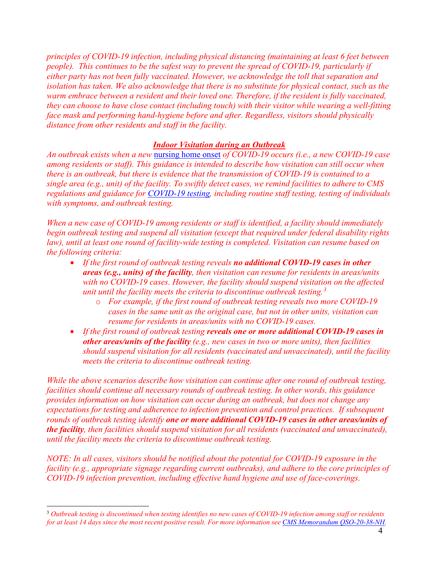*principles of COVID-19 infection, including physical distancing (maintaining at least 6 feet between people). This continues to be the safest way to prevent the spread of COVID-19, particularly if either party has not been fully vaccinated. However, we acknowledge the toll that separation and isolation has taken. We also acknowledge that there is no substitute for physical contact, such as the warm embrace between a resident and their loved one. Therefore, if the resident is fully vaccinated, they can choose to have close contact (including touch) with their visitor while wearing a well-fitting face mask and performing hand-hygiene before and after. Regardless, visitors should physically distance from other residents and staff in the facility.* 

#### *Indoor Visitation during an Outbreak*

*An outbreak exists when a new* [nursing home onset](https://www.cdc.gov/coronavirus/2019-ncov/hcp/nursing-homes-testing.html#nursing-home) *of COVID-19 occurs (i.e., a new COVID-19 case among residents or staff). This guidance is intended to describe how visitation can still occur when there is an outbreak, but there is evidence that the transmission of COVID-19 is contained to a single area (e.g., unit) of the facility. To swiftly detect cases, we remind facilities to adhere to CMS regulations and guidance for [COVID-19 testing,](https://www.cms.gov/files/document/qso-20-38-nh.pdf) including routine staff testing, testing of individuals with symptoms, and outbreak testing.*

*When a new case of COVID-19 among residents or staff is identified, a facility should immediately begin outbreak testing and suspend all visitation (except that required under federal disability rights law), until at least one round of facility-wide testing is completed. Visitation can resume based on the following criteria:*

- *If the first round of outbreak testing reveals no additional COVID-19 cases in other areas (e.g., units) of the facility, then visitation can resume for residents in areas/units with no COVID-19 cases. However, the facility should suspend visitation on the affected unit until the facility meets the criteria to discontinue outbreak testing. [3](#page-3-0)*
	- o *For example, if the first round of outbreak testing reveals two more COVID-19 cases in the same unit as the original case, but not in other units, visitation can resume for residents in areas/units with no COVID-19 cases.*
- *If the first round of outbreak testing reveals one or more additional COVID-19 cases in other areas/units of the facility (e.g., new cases in two or more units), then facilities should suspend visitation for all residents (vaccinated and unvaccinated), until the facility meets the criteria to discontinue outbreak testing.*

*While the above scenarios describe how visitation can continue after one round of outbreak testing, facilities should continue all necessary rounds of outbreak testing. In other words, this guidance provides information on how visitation can occur during an outbreak, but does not change any expectations for testing and adherence to infection prevention and control practices. If subsequent rounds of outbreak testing identify one or more additional COVID-19 cases in other areas/units of the facility, then facilities should suspend visitation for all residents (vaccinated and unvaccinated), until the facility meets the criteria to discontinue outbreak testing.*

*NOTE: In all cases, visitors should be notified about the potential for COVID-19 exposure in the facility (e.g., appropriate signage regarding current outbreaks), and adhere to the core principles of COVID-19 infection prevention, including effective hand hygiene and use of face-coverings.* 

<span id="page-3-0"></span><sup>3</sup> *Outbreak testing is discontinued when testing identifies no new cases of COVID-19 infection among staff or residents for at least 14 days since the most recent positive result. For more information se[e CMS Memorandum QSO-20-38-NH.](https://www.cms.gov/files/document/qso-20-38-nh.pdf)*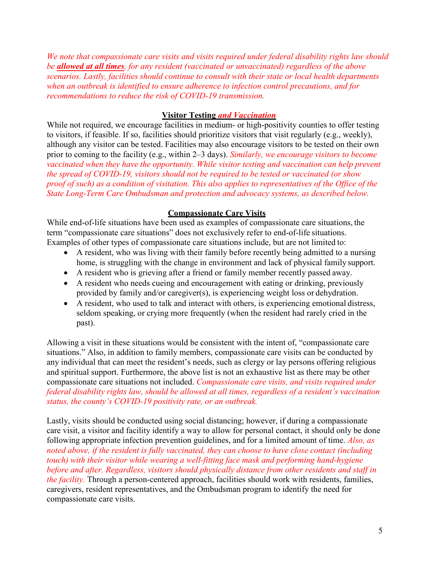*We note that compassionate care visits and visits required under federal disability rights law should be allowed at all times, for any resident (vaccinated or unvaccinated) regardless of the above scenarios. Lastly, facilities should continue to consult with their state or local health departments when an outbreak is identified to ensure adherence to infection control precautions, and for recommendations to reduce the risk of COVID-19 transmission.*

#### **Visitor Testing** *and Vaccination*

While not required, we encourage facilities in medium- or high-positivity counties to offer testing to visitors, if feasible. If so, facilities should prioritize visitors that visit regularly (e.g., weekly), although any visitor can be tested. Facilities may also encourage visitors to be tested on their own prior to coming to the facility (e.g., within 2–3 days). *Similarly, we encourage visitors to become vaccinated when they have the opportunity. While visitor testing and vaccination can help prevent the spread of COVID-19, visitors should not be required to be tested or vaccinated (or show proof of such) as a condition of visitation. This also applies to representatives of the Office of the State Long-Term Care Ombudsman and protection and advocacy systems, as described below.*

# **Compassionate Care Visits**

While end-of-life situations have been used as examples of compassionate care situations, the term "compassionate care situations" does not exclusively refer to end-of-life situations. Examples of other types of compassionate care situations include, but are not limited to:

- A resident, who was living with their family before recently being admitted to a nursing home, is struggling with the change in environment and lack of physical family support.
- A resident who is grieving after a friend or family member recently passed away.
- A resident who needs cueing and encouragement with eating or drinking, previously provided by family and/or caregiver(s), is experiencing weight loss or dehydration.
- A resident, who used to talk and interact with others, is experiencing emotional distress, seldom speaking, or crying more frequently (when the resident had rarely cried in the past).

Allowing a visit in these situations would be consistent with the intent of, "compassionate care situations." Also, in addition to family members, compassionate care visits can be conducted by any individual that can meet the resident's needs, such as clergy or lay persons offering religious and spiritual support. Furthermore, the above list is not an exhaustive list as there may be other compassionate care situations not included. *Compassionate care visits, and visits required under federal disability rights law, should be allowed at all times, regardless of a resident's vaccination status, the county's COVID-19 positivity rate, or an outbreak.*

Lastly, visits should be conducted using social distancing; however, if during a compassionate care visit, a visitor and facility identify a way to allow for personal contact, it should only be done following appropriate infection prevention guidelines, and for a limited amount of time. *Also, as noted above, if the resident is fully vaccinated, they can choose to have close contact (including touch) with their visitor while wearing a well-fitting face mask and performing hand-hygiene before and after. Regardless, visitors should physically distance from other residents and staff in the facility.* Through a person-centered approach, facilities should work with residents, families, caregivers, resident representatives, and the Ombudsman program to identify the need for compassionate care visits.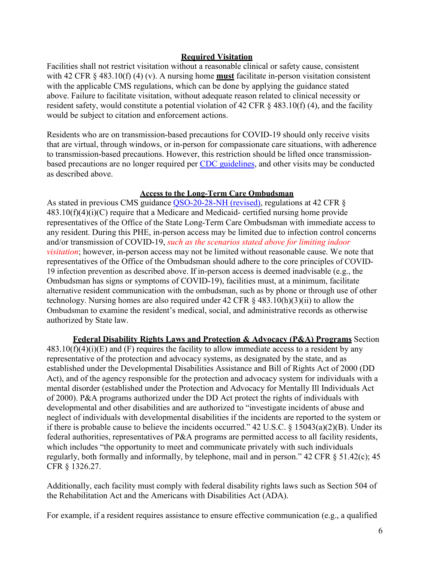#### **Required Visitation**

Facilities shall not restrict visitation without a reasonable clinical or safety cause, consistent with 42 CFR § 483.10(f) (4) (v). A nursing home **must** facilitate in-person visitation consistent with the applicable CMS regulations, which can be done by applying the guidance stated above. Failure to facilitate visitation, without adequate reason related to clinical necessity or resident safety, would constitute a potential violation of 42 CFR § 483.10(f) (4), and the facility would be subject to citation and enforcement actions.

Residents who are on transmission-based precautions for COVID-19 should only receive visits that are virtual, through windows, or in-person for compassionate care situations, with adherence to transmission-based precautions. However, this restriction should be lifted once transmissionbased precautions are no longer required per [CDC guidelines,](https://www.cdc.gov/coronavirus/2019-ncov/hcp/disposition-hospitalized-patients.html) and other visits may be conducted as described above.

#### **Access to the Long-Term Care Ombudsman**

As stated in previous CMS guidance [QSO-20-28-NH \(revised\),](https://www.cms.gov/files/document/qso-20-28-nh-revised.pdf) regulations at 42 CFR §  $483.10(f)(4)(i)(C)$  require that a Medicare and Medicaid- certified nursing home provide representatives of the Office of the State Long-Term Care Ombudsman with immediate access to any resident. During this PHE, in-person access may be limited due to infection control concerns and/or transmission of COVID-19, *such as the scenarios stated above for limiting indoor visitation*; however, in-person access may not be limited without reasonable cause. We note that representatives of the Office of the Ombudsman should adhere to the core principles of COVID-19 infection prevention as described above. If in-person access is deemed inadvisable (e.g., the Ombudsman has signs or symptoms of COVID-19), facilities must, at a minimum, facilitate alternative resident communication with the ombudsman, such as by phone or through use of other technology. Nursing homes are also required under 42 CFR  $\S$  483.10(h)(3)(ii) to allow the Ombudsman to examine the resident's medical, social, and administrative records as otherwise authorized by State law.

**Federal Disability Rights Laws and Protection & Advocacy (P&A) Programs** Section  $483.10(f)(4)(i)(E)$  and (F) requires the facility to allow immediate access to a resident by any representative of the protection and advocacy systems, as designated by the state, and as established under the Developmental Disabilities Assistance and Bill of Rights Act of 2000 (DD Act), and of the agency responsible for the protection and advocacy system for individuals with a mental disorder (established under the Protection and Advocacy for Mentally Ill Individuals Act of 2000). P&A programs authorized under the DD Act protect the rights of individuals with developmental and other disabilities and are authorized to "investigate incidents of abuse and neglect of individuals with developmental disabilities if the incidents are reported to the system or if there is probable cause to believe the incidents occurred." 42 U.S.C. § 15043(a)(2)(B). Under its federal authorities, representatives of P&A programs are permitted access to all facility residents, which includes "the opportunity to meet and communicate privately with such individuals regularly, both formally and informally, by telephone, mail and in person." 42 CFR § 51.42(c); 45 CFR § 1326.27.

Additionally, each facility must comply with federal disability rights laws such as Section 504 of the Rehabilitation Act and the Americans with Disabilities Act (ADA).

For example, if a resident requires assistance to ensure effective communication (e.g., a qualified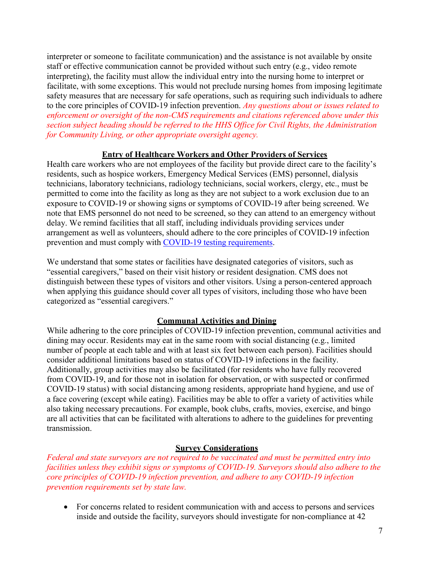interpreter or someone to facilitate communication) and the assistance is not available by onsite staff or effective communication cannot be provided without such entry (e.g., video remote interpreting), the facility must allow the individual entry into the nursing home to interpret or facilitate, with some exceptions. This would not preclude nursing homes from imposing legitimate safety measures that are necessary for safe operations, such as requiring such individuals to adhere to the core principles of COVID-19 infection prevention. *Any questions about or issues related to enforcement or oversight of the non-CMS requirements and citations referenced above under this section subject heading should be referred to the HHS Office for Civil Rights, the Administration for Community Living, or other appropriate oversight agency.*

# **Entry of Healthcare Workers and Other Providers of Services**

Health care workers who are not employees of the facility but provide direct care to the facility's residents, such as hospice workers, Emergency Medical Services (EMS) personnel, dialysis technicians, laboratory technicians, radiology technicians, social workers, clergy, etc., must be permitted to come into the facility as long as they are not subject to a work exclusion due to an exposure to COVID-19 or showing signs or symptoms of COVID-19 after being screened. We note that EMS personnel do not need to be screened, so they can attend to an emergency without delay. We remind facilities that all staff, including individuals providing services under arrangement as well as volunteers, should adhere to the core principles of COVID-19 infection prevention and must comply with [COVID-19 testing requirements.](https://www.cms.gov/files/document/qso-20-38-nh.pdf)

We understand that some states or facilities have designated categories of visitors, such as "essential caregivers," based on their visit history or resident designation. CMS does not distinguish between these types of visitors and other visitors. Using a person-centered approach when applying this guidance should cover all types of visitors, including those who have been categorized as "essential caregivers."

# **Communal Activities and Dining**

While adhering to the core principles of COVID-19 infection prevention, communal activities and dining may occur. Residents may eat in the same room with social distancing (e.g., limited number of people at each table and with at least six feet between each person). Facilities should consider additional limitations based on status of COVID-19 infections in the facility. Additionally, group activities may also be facilitated (for residents who have fully recovered from COVID-19, and for those not in isolation for observation, or with suspected or confirmed COVID-19 status) with social distancing among residents, appropriate hand hygiene, and use of a face covering (except while eating). Facilities may be able to offer a variety of activities while also taking necessary precautions. For example, book clubs, crafts, movies, exercise, and bingo are all activities that can be facilitated with alterations to adhere to the guidelines for preventing transmission.

# **Survey Considerations**

*Federal and state surveyors are not required to be vaccinated and must be permitted entry into facilities unless they exhibit signs or symptoms of COVID-19. Surveyors should also adhere to the core principles of COVID-19 infection prevention, and adhere to any COVID-19 infection prevention requirements set by state law.*

• For concerns related to resident communication with and access to persons and services inside and outside the facility, surveyors should investigate for non-compliance at 42